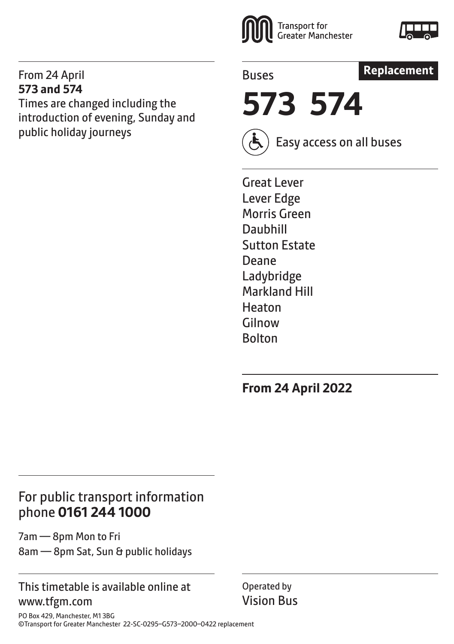#### From 24 April **573 and 574**

Times are changed including the introduction of evening, Sunday and public holiday journeys



Buses



**573 574**

Easy access on all buses

Great Lever Lever Edge Morris Green Daubhill Sutton Estate Deane Ladybridge Markland Hill Heaton Gilnow Bolton

**From 24 April 2022**

# For public transport information phone **0161 244 1000**

7am — 8pm Mon to Fri 8am — 8pm Sat, Sun & public holidays

# This timetable is available online at www.tfgm.com

Operated by Vision Bus

PO Box 429, Manchester, M1 3BG ©Transport for Greater Manchester 22-SC-0295–G573–2000–0422 replacement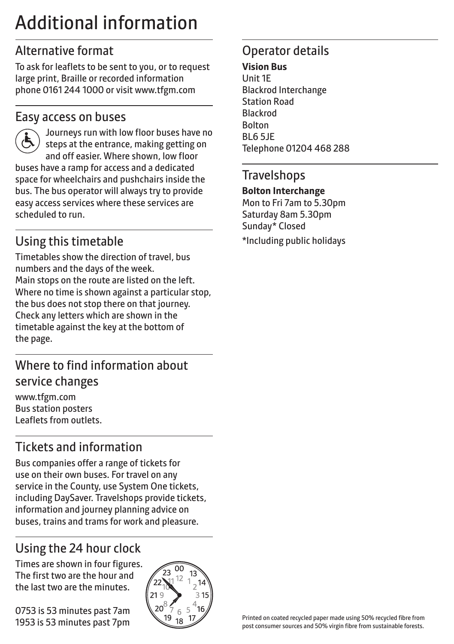# Additional information

# Alternative format

To ask for leaflets to be sent to you, or to request large print, Braille or recorded information phone 0161 244 1000 or visit www.tfgm.com

### Easy access on buses



 Journeys run with low floor buses have no steps at the entrance, making getting on and off easier. Where shown, low floor buses have a ramp for access and a dedicated space for wheelchairs and pushchairs inside the bus. The bus operator will always try to provide easy access services where these services are scheduled to run.

# Using this timetable

Timetables show the direction of travel, bus numbers and the days of the week. Main stops on the route are listed on the left. Where no time is shown against a particular stop, the bus does not stop there on that journey. Check any letters which are shown in the timetable against the key at the bottom of the page.

# Where to find information about service changes

www.tfgm.com Bus station posters Leaflets from outlets.

# Tickets and information

Bus companies offer a range of tickets for use on their own buses. For travel on any service in the County, use System One tickets, including DaySaver. Travelshops provide tickets, information and journey planning advice on buses, trains and trams for work and pleasure.

# Using the 24 hour clock

Times are shown in four figures. The first two are the hour and the last two are the minutes.

0753 is 53 minutes past 7am 1953 is 53 minutes past 7pm



# Operator details

#### **Vision Bus**

Unit 1E Blackrod Interchange Station Road Blackrod Bolton BL6 5JE Telephone 01204 468 288

#### **Travelshops**

#### **Bolton Interchange**

Mon to Fri 7am to 5.30pm Saturday 8am 5.30pm Sunday\* Closed \*Including public holidays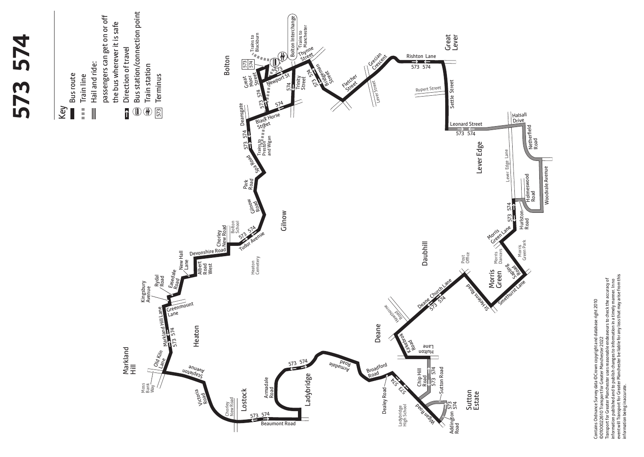

Contains Ordnance Survey data ©Crown copyright and database right 2010<br>©0100022610 Transport for Greater Manchester 2022<br>Transport for Greater Manchester uses reasonable endeavours to check the accuracy of<br>enterwill Transp event will Transport for Greater Manchester be liable for any loss that may arise from this Transport for Greater Manchester uses reasonable endeavours to check the accuracy of information published and to publish changes to information in a timely manner. In no ©0100022610 Transport for Greater Manchester 2022

information being inaccurate.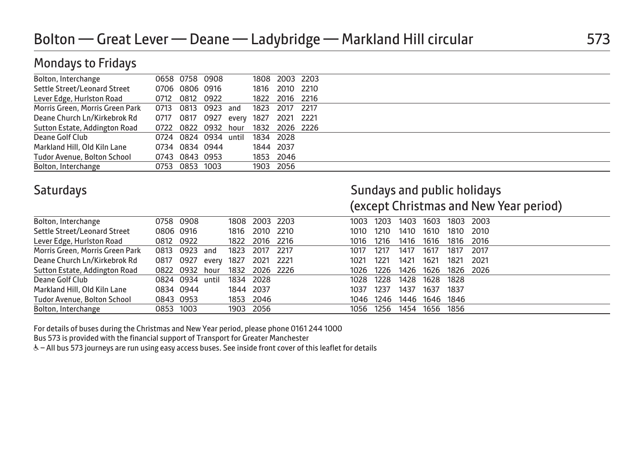# Mondays to Fridays

| Bolton, Interchange             | 0658 0758 0908       |       |           | 1808 2003 2203 |      |  |
|---------------------------------|----------------------|-------|-----------|----------------|------|--|
| Settle Street/Leonard Street    | 0706 0806 0916       |       |           | 1816 2010 2210 |      |  |
| Lever Edge, Hurlston Road       | 0712 0812 0922       |       |           | 1822 2016 2216 |      |  |
| Morris Green, Morris Green Park | 0713 0813 0923 and   |       | 1823      | 2017           | 2217 |  |
| Deane Church Ln/Kirkebrok Rd    | 0717 0817 0927       | every | 1827      | 2021           | 2221 |  |
| Sutton Estate, Addington Road   | 0722 0822 0932 hour  |       |           | 1832 2026 2226 |      |  |
| Deane Golf Club                 | 0724 0824 0934 until |       | 1834 2028 |                |      |  |
| Markland Hill, Old Kiln Lane    | 0734 0834 0944       |       | 1844 2037 |                |      |  |
| Tudor Avenue, Bolton School     | 0743 0843 0953       |       |           | 1853 2046      |      |  |
| Bolton, Interchange             | 0753 0853 1003       |       |           | 1903 2056      |      |  |

### Saturdays **Saturdays** Sundays and public holidays (except Christmas and New Year period)

| Bolton, Interchange                | 0758 0908 |       | 1808 | 2003 2203 |      | 1003 | 1203 | 1403 | 1603 |      | 1803 2003 |  |  |
|------------------------------------|-----------|-------|------|-----------|------|------|------|------|------|------|-----------|--|--|
| Settle Street/Leonard Street       | 0806 0916 |       | 1816 | 2010      | 2210 | 1010 | 1210 | 1410 | 1610 | 1810 | 2010      |  |  |
| Lever Edge, Hurlston Road          | 0812 0922 |       | 1822 | 2016 2216 |      | 1016 | 1216 | 1416 | 1616 | 1816 | 2016      |  |  |
| Morris Green, Morris Green Park    | 0813 0923 | and   | 1823 | 2017      | 2217 | 1017 | 1217 | 1417 | 1617 | 1817 | 2017      |  |  |
| Deane Church Ln/Kirkebrok Rd       | 0817 0927 | every | 1827 | 2021      | 2221 | 1021 | 1221 | 1421 | 1621 | 1821 | 2021      |  |  |
| Sutton Estate, Addington Road      | 0822 0932 | hour  | 1832 | 2026 2226 |      | 1026 | 1226 | 1426 | 1626 |      | 1826 2026 |  |  |
| Deane Golf Club                    | 0824 0934 | until | 1834 | 2028      |      | 1028 | 1228 | 1428 | 1628 | 1828 |           |  |  |
| Markland Hill, Old Kiln Lane       | 0834 0944 |       | 1844 | 2037      |      | 1037 | 1237 | 1437 | 1637 | 1837 |           |  |  |
| <b>Tudor Avenue, Bolton School</b> | 0843 0953 |       |      | 1853 2046 |      | 1046 | 1246 | 1446 | 1646 | 1846 |           |  |  |
| Bolton, Interchange                | 0853 1003 |       |      | 1903 2056 |      | 1056 | 1256 | 1454 | 1656 | 1856 |           |  |  |
|                                    |           |       |      |           |      |      |      |      |      |      |           |  |  |

For details of buses during the Christmas and New Year period, please phone 0161 244 1000

Bus 573 is provided with the financial support of Transport for Greater Manchester

W– All bus 573 journeys are run using easy access buses. See inside front cover of this leaflet for details